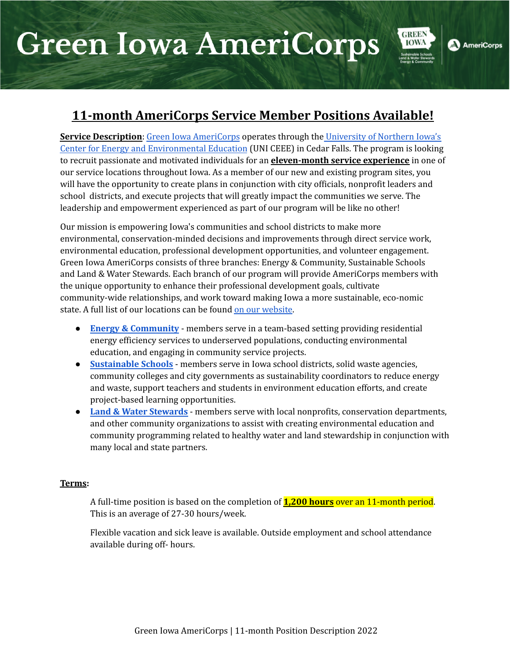# **Green Iowa AmeriCorps**



**GREEN** 

**AmeriCorps** 

**Service Description**: Green Iowa [AmeriCorps](https://www.greeniowaamericorps.org/) operates through the [University](https://ceee.uni.edu/) of Northern Iowa's Center for Energy and [Environmental](https://ceee.uni.edu/) Education (UNI CEEE) in Cedar Falls. The program is looking to recruit passionate and motivated individuals for an **eleven-month service experience** in one of our service locations throughout Iowa. As a member of our new and existing program sites, you will have the opportunity to create plans in conjunction with city officials, nonprofit leaders and school districts, and execute projects that will greatly impact the communities we serve. The leadership and empowerment experienced as part of our program will be like no other!

Our mission is empowering Iowa's communities and school districts to make more environmental, conservation-minded decisions and improvements through direct service work, environmental education, professional development opportunities, and volunteer engagement. Green Iowa AmeriCorps consists of three branches: Energy & Community, Sustainable Schools and Land & Water Stewards. Each branch of our program will provide AmeriCorps members with the unique opportunity to enhance their professional development goals, cultivate community-wide relationships, and work toward making Iowa a more sustainable, eco-nomic state. A full list of our locations can be found on our [website](https://www.greeniowaamericorps.org/locations).

- **Energy & [Community](https://www.greeniowaamericorps.org/energy-community)** members serve in a team-based setting providing residential energy efficiency services to underserved populations, conducting environmental education, and engaging in community service projects.
- **[Sustainable](https://www.greeniowaamericorps.org/sustainable-schools) Schools** members serve in Iowa school districts, solid waste agencies, community colleges and city governments as sustainability coordinators to reduce energy and waste, support teachers and students in environment education efforts, and create project-based learning opportunities.
- **Land & Water [Stewards](https://www.greeniowaamericorps.org/land-water-stewards)** members serve with local nonprofits, conservation departments, and other community organizations to assist with creating environmental education and community programming related to healthy water and land stewardship in conjunction with many local and state partners.

#### **Terms:**

A full-time position is based on the completion of **1,200 hours** over an 11-month period. This is an average of 27-30 hours/week.

Flexible vacation and sick leave is available. Outside employment and school attendance available during off- hours.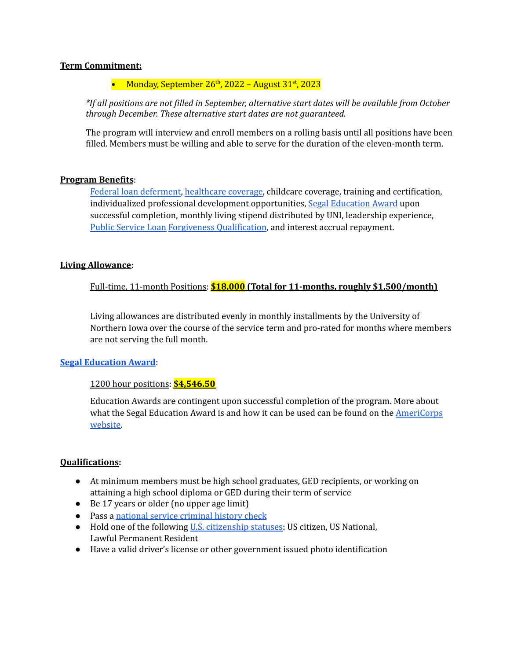#### **Term Commitment:**

# • Monday, September 26<sup>th</sup>, 2022 - August 31<sup>st</sup>, 2023

*\*If all positions are not filled in September, alternative start dates will be available from October through December. These alternative start dates are not guaranteed.*

The program will interview and enroll members on a rolling basis until all positions have been filled. Members must be willing and able to serve for the duration of the eleven-month term.

#### **Program Benefits**:

Federal loan [deferment](https://www.nationalservice.gov/programs/americorps/segal-americorps-education-award/using-your-segal-education-award/postponing), [healthcare](https://www.cigna.com/) coverage, childcare coverage, training and certification, individualized professional development opportunities, Segal [Education](https://www.nationalservice.gov/programs/americorps/segal-americorps-education-award) Award upon successful completion, monthly living stipend distributed by UNI, leadership experience, Public [Service](https://www.nationalservice.gov/resources/ed-award/forbearance-and-forgiveness) Loan Forgiveness [Qualification](https://www.nationalservice.gov/resources/ed-award/forbearance-and-forgiveness), and interest accrual repayment.

#### **Living Allowance**:

Full-time, 11-month Positions: **\$18,000 (Total for 11-months, roughly \$1,500/month)**

Living allowances are distributed evenly in monthly installments by the University of Northern Iowa over the course of the service term and pro-rated for months where members are not serving the full month.

# **Segal [Education](https://americorps.gov/members-volunteers/segal-americorps-education-award) Award**:

# 1200 hour positions: **\$4,546.50**

Education Awards are contingent upon successful completion of the program. More about what the Segal Education Award is and how it can be used can be found on the [AmeriCorps](https://americorps.gov/members-volunteers/segal-americorps-education-award) [website.](https://americorps.gov/members-volunteers/segal-americorps-education-award)

# **Qualifications:**

- At minimum members must be high school graduates, GED recipients, or working on attaining a high school diploma or GED during their term of service
- Be 17 years or older (no upper age limit)
- Pass a national service [criminal](https://www.nationalservice.gov/resources/criminal-history-check) history check
- Hold one of the following U.S. [citizenship](https://americorps.gov/serve/faqs) statuses: US citizen, US National, Lawful Permanent Resident
- Have a valid driver's license or other government issued photo identification